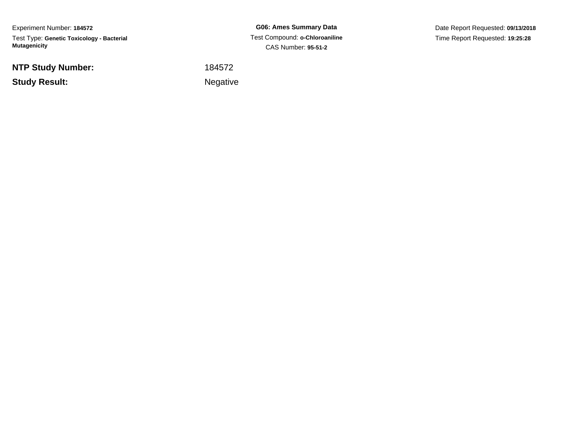Experiment Number: **184572**Test Type: **Genetic Toxicology - Bacterial Mutagenicity**

**NTP Study Number:**

**Example 2** is the contract of the Negative **Study Result:**

**G06: Ames Summary Data** Test Compound: **o-Chloroaniline**CAS Number: **95-51-2**

Date Report Requested: **09/13/2018**Time Report Requested: **19:25:28**

<sup>184572</sup>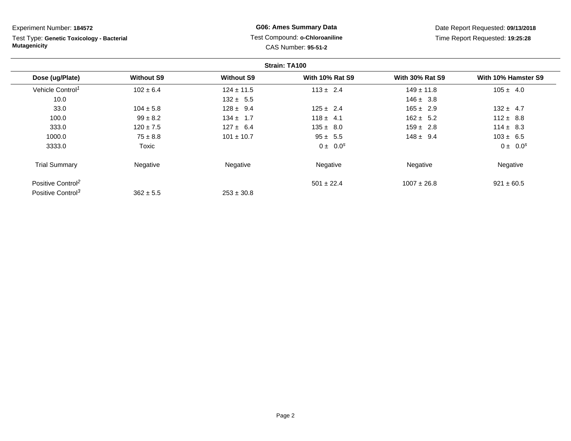Test Type: **Genetic Toxicology - Bacterial Mutagenicity**

# **G06: Ames Summary Data** Test Compound: **o-Chloroaniline**CAS Number: **95-51-2**

Date Report Requested: **09/13/2018**Time Report Requested: **19:25:28**

|                               |                   |                   | Strain: TA100          |                        |                     |
|-------------------------------|-------------------|-------------------|------------------------|------------------------|---------------------|
| Dose (ug/Plate)               | <b>Without S9</b> | <b>Without S9</b> | <b>With 10% Rat S9</b> | <b>With 30% Rat S9</b> | With 10% Hamster S9 |
| Vehicle Control <sup>1</sup>  | $102 \pm 6.4$     | $124 \pm 11.5$    | $113 \pm 2.4$          | $149 \pm 11.8$         | $105 \pm 4.0$       |
| 10.0                          |                   | $132 \pm 5.5$     |                        | $146 \pm 3.8$          |                     |
| 33.0                          | $104 \pm 5.8$     | $128 \pm 9.4$     | $125 \pm 2.4$          | $165 \pm 2.9$          | $132 \pm 4.7$       |
| 100.0                         | $99 \pm 8.2$      | $134 \pm 1.7$     | $118 \pm 4.1$          | $162 \pm 5.2$          | $112 \pm 8.8$       |
| 333.0                         | $120 \pm 7.5$     | $127 \pm 6.4$     | $135 \pm 8.0$          | $159 \pm 2.8$          | $114 \pm 8.3$       |
| 1000.0                        | $75 \pm 8.8$      | $101 \pm 10.7$    | $95 \pm 5.5$           | $148 \pm 9.4$          | $103 \pm 6.5$       |
| 3333.0                        | Toxic             |                   | $0 \pm 0.0^s$          |                        | $0 \pm 0.0^s$       |
| <b>Trial Summary</b>          | Negative          | Negative          | Negative               | Negative               | Negative            |
| Positive Control <sup>2</sup> |                   |                   | $501 \pm 22.4$         | $1007 \pm 26.8$        | $921 \pm 60.5$      |
| Positive Control <sup>3</sup> | $362 \pm 5.5$     | $253 \pm 30.8$    |                        |                        |                     |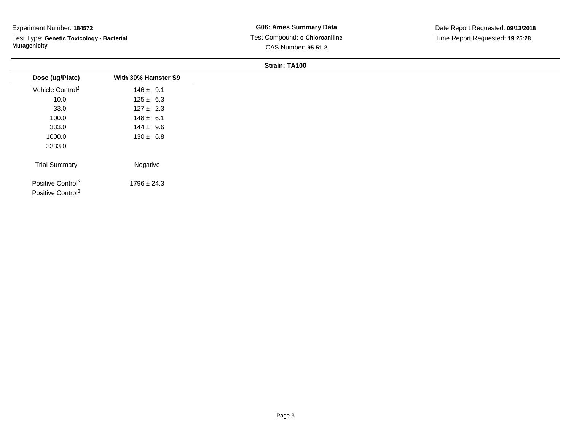Test Type: **Genetic Toxicology - Bacterial Mutagenicity**

**G06: Ames Summary Data** Test Compound: **o-Chloroaniline**CAS Number: **95-51-2**

| Dose (ug/Plate)               | With 30% Hamster S9 |  |
|-------------------------------|---------------------|--|
| Vehicle Control <sup>1</sup>  | $146 \pm 9.1$       |  |
| 10.0                          | $125 \pm 6.3$       |  |
| 33.0                          | $127 \pm 2.3$       |  |
| 100.0                         | $148 \pm 6.1$       |  |
| 333.0                         | $144 \pm 9.6$       |  |
| 1000.0                        | $130 \pm 6.8$       |  |
| 3333.0                        |                     |  |
| <b>Trial Summary</b>          | Negative            |  |
| Positive Control <sup>2</sup> | $1796 \pm 24.3$     |  |
| Positive Control <sup>3</sup> |                     |  |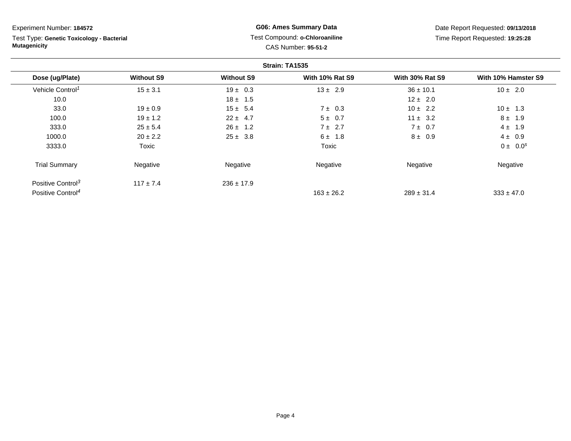Test Type: **Genetic Toxicology - Bacterial Mutagenicity**

# **G06: Ames Summary Data** Test Compound: **o-Chloroaniline**CAS Number: **95-51-2**

Date Report Requested: **09/13/2018**Time Report Requested: **19:25:28**

|                               |                   |                   | Strain: TA1535         |                        |                     |
|-------------------------------|-------------------|-------------------|------------------------|------------------------|---------------------|
| Dose (ug/Plate)               | <b>Without S9</b> | <b>Without S9</b> | <b>With 10% Rat S9</b> | <b>With 30% Rat S9</b> | With 10% Hamster S9 |
| Vehicle Control <sup>1</sup>  | $15 \pm 3.1$      | $19 \pm 0.3$      | $13 \pm 2.9$           | $36 \pm 10.1$          | $10 \pm 2.0$        |
| 10.0                          |                   | $18 \pm 1.5$      |                        | $12 \pm 2.0$           |                     |
| 33.0                          | $19 \pm 0.9$      | $15 \pm 5.4$      | $7 \pm 0.3$            | $10 \pm 2.2$           | $10 \pm 1.3$        |
| 100.0                         | $19 \pm 1.2$      | $22 \pm 4.7$      | $5 \pm 0.7$            | $11 \pm 3.2$           | $8 \pm 1.9$         |
| 333.0                         | $25 \pm 5.4$      | $26 \pm 1.2$      | $7 \pm 2.7$            | $7 \pm 0.7$            | $4 \pm 1.9$         |
| 1000.0                        | $20 \pm 2.2$      | $25 \pm 3.8$      | $6 \pm 1.8$            | $8 \pm 0.9$            | $4 \pm 0.9$         |
| 3333.0                        | Toxic             |                   | Toxic                  |                        | $0 \pm 0.0^s$       |
| <b>Trial Summary</b>          | Negative          | Negative          | Negative               | Negative               | Negative            |
| Positive Control <sup>3</sup> | $117 \pm 7.4$     | $236 \pm 17.9$    |                        |                        |                     |
| Positive Control <sup>4</sup> |                   |                   | $163 \pm 26.2$         | $289 \pm 31.4$         | $333 \pm 47.0$      |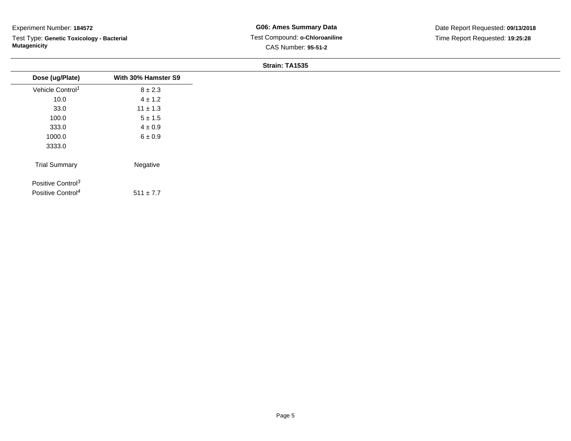Test Type: **Genetic Toxicology - Bacterial Mutagenicity**

| Dose (ug/Plate)               | With 30% Hamster S9 |
|-------------------------------|---------------------|
| Vehicle Control <sup>1</sup>  | $8 \pm 2.3$         |
| 10.0                          | $4 \pm 1.2$         |
| 33.0                          | $11 \pm 1.3$        |
| 100.0                         | $5 \pm 1.5$         |
| 333.0                         | $4 \pm 0.9$         |
| 1000.0                        | $6 \pm 0.9$         |
| 3333.0                        |                     |
| <b>Trial Summary</b>          | Negative            |
|                               |                     |
| Positive Control <sup>3</sup> |                     |
| Positive Control <sup>4</sup> | $511 \pm 7.7$       |
|                               |                     |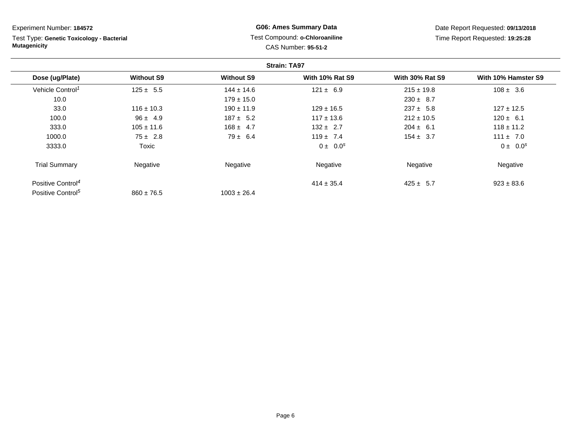**Strain: TA97Dose (ug/Plate) Without S9 Without S9 With 10% Rat S9 With 30% Rat S9 With 10% Hamster S9** Vehicle Control<sup>1</sup>  $125 \pm 5.5$ 5 144 ± 14.6 121 ± 6.9 215 ± 19.8 108 ± 3.6 10.00  $179 \pm 15.0$   $230 \pm 8.7$ 33.00 116 ± 10.3 190 ± 11.9 129 ± 16.5 237 ± 5.8 127 ± 12.5 100.00 120  $\pm$  4.9 187  $\pm$  5.2 117  $\pm$  13.6 212  $\pm$  10.5 120  $\pm$  6.1 333.00 105 ± 11.6 168 ± 4.7 132 ± 2.7 204 ± 6.1 118 ± 11.2 1000.00  $75 \pm 2.8$   $79 \pm 6.4$   $119 \pm 7.4$   $154 \pm 3.7$   $111 \pm 7.0$ 3333.0 $0 \pm 0.0^s$  0.0s 0  $\pm 0.0^s$  0.0s 0  $\pm 0.0^s$ Trial Summary Negativee **Negative Regative** Negative Negative Negative Regative Negative Positive Control<sup>4</sup>  $414 \pm 35.4$  $425 \pm 5.7$  923  $\pm 83.6$ Positive Control<sup>5</sup>  $860 \pm 76.5$  $1003 \pm 26.4$ Experiment Number: **184572**Test Type: **Genetic Toxicology - BacterialMutagenicityG06: Ames Summary Data** Test Compound: **o-Chloroaniline**CAS Number: **95-51-2**Date Report Requested: **09/13/2018**Time Report Requested: **19:25:28**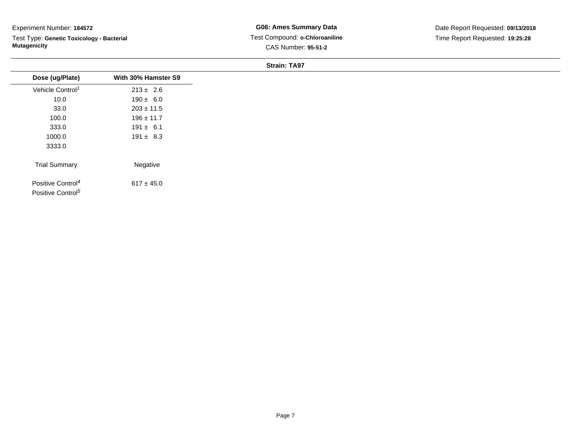Test Type: **Genetic Toxicology - Bacterial Mutagenicity**

**G06: Ames Summary Data** Test Compound: **o-Chloroaniline**CAS Number: **95-51-2**

| Dose (ug/Plate)                                                | With 30% Hamster S9 |  |
|----------------------------------------------------------------|---------------------|--|
| Vehicle Control <sup>1</sup>                                   | $213 \pm 2.6$       |  |
| 10.0                                                           | $190 \pm 6.0$       |  |
| 33.0                                                           | $203 \pm 11.5$      |  |
| 100.0                                                          | $196 \pm 11.7$      |  |
| 333.0                                                          | $191 \pm 6.1$       |  |
| 1000.0                                                         | $191 \pm 8.3$       |  |
| 3333.0                                                         |                     |  |
| <b>Trial Summary</b>                                           | Negative            |  |
| Positive Control <sup>4</sup><br>Positive Control <sup>5</sup> | $617 \pm 45.0$      |  |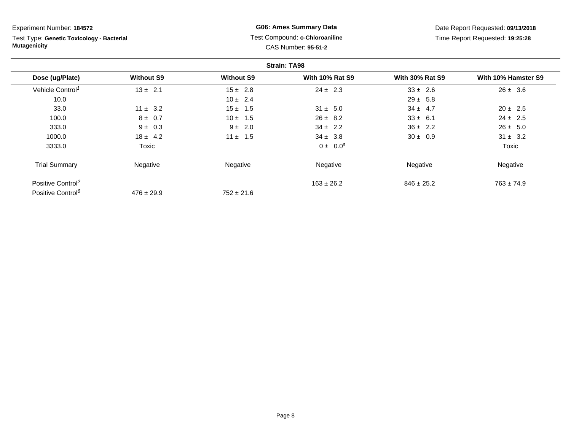Test Type: **Genetic Toxicology - Bacterial Mutagenicity**

# **G06: Ames Summary Data** Test Compound: **o-Chloroaniline**CAS Number: **95-51-2**

Date Report Requested: **09/13/2018**Time Report Requested: **19:25:28**

|                               |                   |                   | <b>Strain: TA98</b>    |                        |                     |
|-------------------------------|-------------------|-------------------|------------------------|------------------------|---------------------|
| Dose (ug/Plate)               | <b>Without S9</b> | <b>Without S9</b> | <b>With 10% Rat S9</b> | <b>With 30% Rat S9</b> | With 10% Hamster S9 |
| Vehicle Control <sup>1</sup>  | $13 \pm 2.1$      | $15 \pm 2.8$      | $24 \pm 2.3$           | $33 \pm 2.6$           | $26 \pm 3.6$        |
| 10.0                          |                   | $10 \pm 2.4$      |                        | $29 \pm 5.8$           |                     |
| 33.0                          | $11 \pm 3.2$      | $15 \pm 1.5$      | $31 \pm 5.0$           | $34 \pm 4.7$           | $20 \pm 2.5$        |
| 100.0                         | $8 \pm 0.7$       | $10 \pm 1.5$      | $26 \pm 8.2$           | $33 \pm 6.1$           | $24 \pm 2.5$        |
| 333.0                         | $9 \pm 0.3$       | $9 \pm 2.0$       | $34 \pm 2.2$           | $36 \pm 2.2$           | $26 \pm 5.0$        |
| 1000.0                        | $18 \pm 4.2$      | $11 \pm 1.5$      | $34 \pm 3.8$           | $30 \pm 0.9$           | $31 \pm 3.2$        |
| 3333.0                        | Toxic             |                   | $0 \pm 0.0^s$          |                        | Toxic               |
| <b>Trial Summary</b>          | Negative          | Negative          | Negative               | Negative               | Negative            |
| Positive Control <sup>2</sup> |                   |                   | $163 \pm 26.2$         | $846 \pm 25.2$         | $763 \pm 74.9$      |
| Positive Control <sup>6</sup> | $476 \pm 29.9$    | $752 \pm 21.6$    |                        |                        |                     |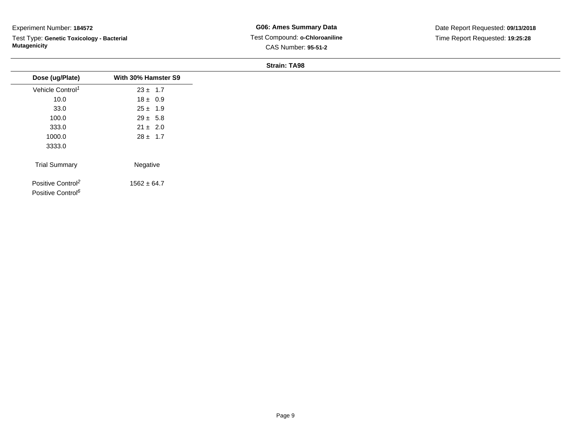Test Type: **Genetic Toxicology - Bacterial Mutagenicity**

**G06: Ames Summary Data** Test Compound: **o-Chloroaniline**CAS Number: **95-51-2**

| Dose (ug/Plate)                                                | With 30% Hamster S9 |
|----------------------------------------------------------------|---------------------|
| Vehicle Control <sup>1</sup>                                   | $23 \pm 1.7$        |
| 10.0                                                           | $18 \pm 0.9$        |
| 33.0                                                           | $25 \pm 1.9$        |
| 100.0                                                          | $29 \pm 5.8$        |
| 333.0                                                          | $21 \pm 2.0$        |
| 1000.0                                                         | $28 \pm 1.7$        |
| 3333.0                                                         |                     |
| <b>Trial Summary</b>                                           | Negative            |
| Positive Control <sup>2</sup><br>Positive Control <sup>6</sup> | $1562 \pm 64.7$     |